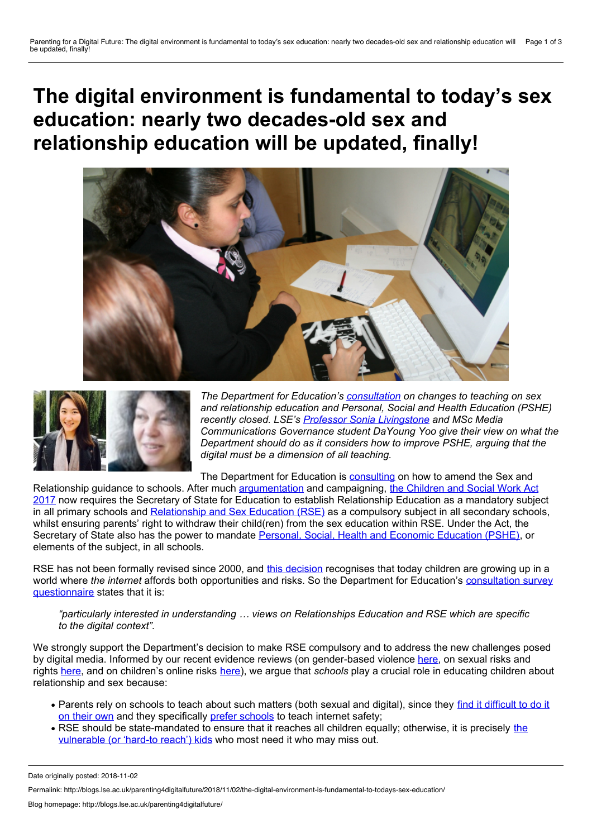**The digital environment is fundamental to today's sex education: nearly two decades-old sex and relationship education will be updated, finally!**





*The Department for Education's [consultation](https://www.gov.uk/government/consultations/changes-to-teaching-of-sex-and-relationship-education-and-pshe) on changes to teaching on sex and relationship education and Personal, Social and Health Education (PSHE) recently closed. LSE's Professor Sonia [Livingstone](http://www.lse.ac.uk/media-and-communications/people/academic-staff/sonia-livingstone) and MSc Media Communications Governance student DaYoung Yoo give their view on what the Department should do as it considers how to improve PSHE*, *arguing that the digital must be a dimension of all teaching.* 

The Department for Education is [consulting](https://www.gov.uk/government/consultations/changes-to-teaching-of-sex-and-relationship-education-and-pshe) on how to amend the Sex and

Relationship guidance to schools. After much [argumentatio](https://www.endviolenceagainstwomen.org.uk/please-respond-to-government-consultation-on-relationships-and-sex-education-in-schools-essential-to-preventing-abuse/)[n](http://www.legislation.gov.uk/ukpga/2017/16/pdfs/ukpga_20170016_en.pdf) and campaigning, the Children and Social Work Act 2017 now requires the Secretary of State for Education to establish Relationship Education as a mandatory subject in all primary schools and [Relationship](https://www.gov.uk/government/publications/sex-and-relationship-education) and Sex Education (RSE) as a compulsory subject in all secondary schools, whilst ensuring parents' right to withdraw their child(ren) from the sex education within RSE. Under the Act, the Secretary of State also has the power to mandate Personal, Social, Health and Economic [Education](https://www.gov.uk/government/publications/personal-social-health-and-economic-education-pshe) (PSHE), or elements of the subject, in all schools.

RSE has not been formally revised since 2000, and this [decision](https://consult.education.gov.uk/life-skills/pshe-rse-call-for-evidence/supporting_documents/Sex and Relationships Education  A call for evidence.pdf) recognises that today children are growing up in a world where *the internet* affords both opportunities and risks. So the Department for Education's consultation survey [questionnaire](https://consult.education.gov.uk/life-skills/pshe-rse-call-for-evidence/consultation/intro/) states that it is:

*"particularly interested in understanding … views on Relationships Education and RSE which are specific to the digital context".*

We strongly support the Department's decision to make RSE compulsory and to address the new challenges posed by digital media. Informed by our recent evidence reviews (on gender-based violence [here](http://data.parliament.uk/writtenevidence/committeeevidence.svc/evidencedocument/women-and-equalities-committee/sexual-harassment-and-sexual-violence-in-schools/written/33550.pdf), on sexual risks and rights [here](http://eprints.lse.ac.uk/64567/1/Livingstone_Review_on_Sexual_rights_and_sexual_risks_among_online_youth_Author_2015.pdf), and on children's online risks [here\)](https://www.gov.uk/government/uploads/system/uploads/attachment_data/file/650933/Literature_Review_Final_October_2017.pdf), we argue that *schools* play a crucial role in educating children about relationship and sex because:

- Parents rely on schools to teach about such matters (both sexual and digital), since they find it difficult to do it on their own and they [specifically](https://www.charterhouse.org.uk/uploaded/School_Life/Pastoral_Care/Talking-to-Your-Children-about-SRE.pdf) prefer [schools](http://eprints.lse.ac.uk/39410/1/Final_recommendations_for_policy%2C_methodology_and_research_%28LSERO%29.pdf) to teach internet safety;
- RSE should be [state-mandated](https://www.nspcc.org.uk/globalassets/documents/research-reports/qualitative-study-children-young-people-sexting-report.pdf) to ensure that it reaches all children equally; otherwise, it is precisely the vulnerable (or 'hard-to reach') kids who most need it who may miss out.

Permalink: http://blogs.lse.ac.uk/parenting4digitalfuture/2018/11/02/the-digital-environment-is-fundamental-to-todays-sex-education/

Date originally posted: 2018-11-02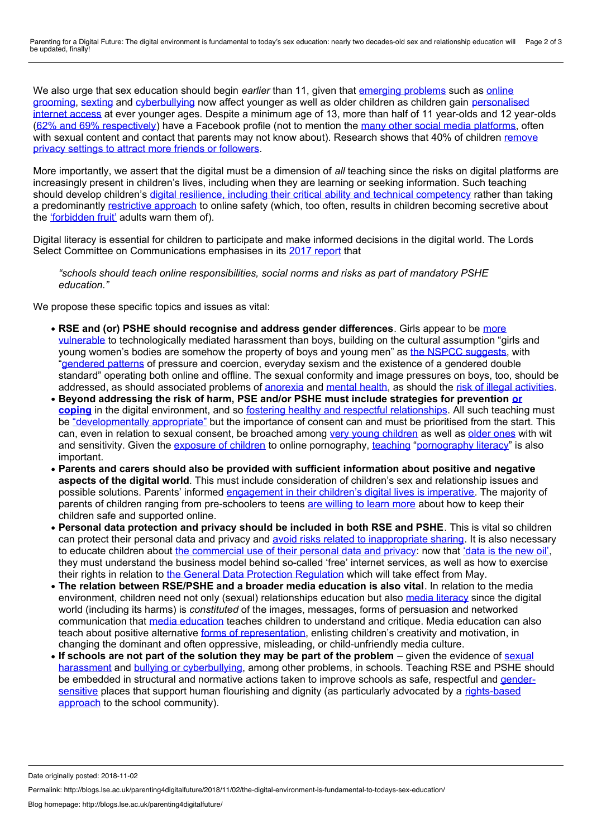Parenting for a Digital Future: The digital environment is fundamental to today's sex education: nearly two decades-old sex and relationship education will be updated, finally! Page 2 of 3

We also urge that sex education should begin *earlier* than 11, given that e[merging](https://theconversation.com/the-virtual-door-to-online-child-sexual-grooming-is-wide-open-90972?utm_source=twitter&utm_medium=twitterbutton) problems such as online grooming, [sexting](https://www.nspcc.org.uk/preventing-abuse/keeping-children-safe/sexting/) and [cyberbullying](http://blogs.lse.ac.uk/parenting4digitalfuture/2015/06/12/as-ever-younger-kids-go-online-how-is-the-family-responding/) now affect younger as well as older children as children gain personalised internet access at ever younger ages. Despite a minimum age of 13, more than half of 11 year-olds and 12 year-olds (62% and 69% [respectively](https://www.internetmatters.org/wp-content/uploads/2016/05/IM-social-media-A4-V3-1.pdf)) have a Facebook profile (not to mention the many other social media [platforms](http://blogs.lse.ac.uk/parenting4digitalfuture/2017/05/23/children-and-young-peoples-online-experiences/), often with sexual content and contact that parents may not know about). [Research](https://www.internetmatters.org/wp-content/uploads/2016/05/IM-social-media-A4-V3-1.pdf) shows that 40% of children remove privacy settings to attract more friends or followers.

More importantly, we assert that the digital must be a dimension of *all*teaching since the risks on digital platforms are increasingly present in children's lives, including when they are learning or seeking information. Such teaching should develop children's digital resilience, including their critical ability and technical [competency](https://www.gov.uk/government/uploads/system/uploads/attachment_data/file/650933/Literature_Review_Final_October_2017.pdf) rather than taking a predominantly [restrictive](http://blogs.lse.ac.uk/parenting4digitalfuture/2015/09/21/parental-education-and-digital-skills-matter-most-in-guiding-childrens-internet-use/) approach to online safety (which, too often, results in children becoming secretive about the ['forbidden](https://www.safenet.bg/en/news/244-0-8-jrc-press-conference) fruit' adults warn them of).

Digital literacy is essential for children to participate and make informed decisions in the digital world. The Lords Select Committee on Communications emphasises in its 2017 [report](https://publications.parliament.uk/pa/ld201617/ldselect/ldcomuni/130/130.pdf) that

*"schools should teach online responsibilities, social norms and risks as part of mandatory PSHE education."*

We propose these specific topics and issues as vital:

- **RSE and (or) PSHE should recognise and address gender differences**. Girls appear to be more vulnerable to [technologically](http://data.parliament.uk/writtenevidence/committeeevidence.svc/evidencedocument/women-and-equalities-committee/sexual-harassment-and-sexual-violence-in-schools/written/33550.pdf) mediated harassment than boys, building on the cultural assumption "girls and young women's bodies are somehow the property of boys and young men" as the NSPCC [suggests](https://www.nspcc.org.uk/globalassets/documents/research-reports/qualitative-study-children-young-people-sexting-report.pdf), with ["gendered](https://www.thinkuknow.co.uk/professionals/resources/digital-romance/) patterns of pressure and coercion, everyday sexism and the existence of a gendered double standard" operating both online and offline. The sexual conformity and image pressures on boys, too, should be addressed, as should associated problems of [anorexia](http://www.thechildrensmediafoundation.org/wp-content/uploads/2014/02/Bond-2012-Research-on-pro-anorexia-websites.pdf) and [mental](https://www.childrenscommissioner.gov.uk/wp-content/uploads/2018/01/Childrens-Commissioner-for-England-Life-in-Likes.pdf) health, as should the risk of illegal [activities.](https://www.iwf.org.uk/news/working-internationally-fighting-self-generated-content)
- **Beyond addressing the risk of harm, PSE and/or PSHE must include strategies for prevention or coping** in the digital environment, and so fostering healthy and respectful [relationships.](http://eprints.lse.ac.uk/48115/) All such teaching must be ["developmentally](http://eprints.lse.ac.uk/64567/1/Livingstone_Review_on_Sexual_rights_and_sexual_risks_among_online_youth_Author_2015.pdf) appropriate" but the importance of consent can and must be prioritised from the start. This can, even in relation to sexual consent, be broached among very young [children](https://www.nspcc.org.uk/preventing-abuse/keeping-children-safe/underwear-rule/underwear-rule-schools-teaching-resources/) as well as [older](http://www.consentiseverything.com/) ones with wit and sensitivity. Given the [exposure](https://www.nspcc.org.uk/services-and-resources/research-and-resources/2016/i-wasnt-sure-it-was-normal-to-watch-it/) of children to online pornography, [teaching](https://www.bzga-whocc.de/fileadmin/user_upload/WHO_BZgA_Standards_English.pdf) "[pornography](https://www.nytimes.com/2018/02/07/magazine/teenagers-learning-online-porn-literacy-sex-education.html) literacy" is also important.
- **Parents and carers should also be provided with sufficient information about positive and negative aspects of the digital world**. This must include consideration of children's sex and relationship issues and possible solutions. Parents' informed [engagement](https://www.crin.org/sites/default/files/attachments/jointsubmission_icts_sexual_exploitation.pdf) in their children's digital lives is imperative. The majority of parents of children ranging from pre-schoolers to teens are [willing](https://www.internetmatters.org/wp-content/uploads/2018/01/Internet_Matters_-Parenting_Digital_Natives_Report_2018.pdf) to learn more about how to keep their children safe and supported online.
- **Personal data protection and privacy should be included in both RSE and PSHE**. This is vitalso children can protect their personal data and privacy and avoid risks related to [inappropriate](http://www.childnet.com/ufiles/Project_deSHAME_Dec_2017_Report.pdf) sharing. It is also necessary to educate children about the [commercial](http://eprints.lse.ac.uk/83844/1/businessreview-2017-07-22-a-complex-web-of-factors-influence.pdf) use of their personal data and privacy: now that ['data](http://blogs.lse.ac.uk/impactofsocialsciences/2016/11/22/the-big-data-rich-and-the-big-data-poor-the-new-digital-divide-raises-questions-about-future-academic-research/) is the new oil', they must understand the business model behind so-called 'free'internet services, as wellas how to exercise their rights in relation to the General Data Protection [Regulation](http://blogs.lse.ac.uk/mediapolicyproject/2018/01/18/more-clarity-brings-more-confusion-debating-what-the-european-general-data-protection-regulation-means-for-children-in-the-uk/) which will take effect from May.
- **The relation between RSE/PSHE and a broader media education is also vital**. In relation to the media environment, children need not only (sexual) relationships education but also media [literacy](http://blogs.lse.ac.uk/mediapolicyproject/2015/05/27/whither-media-literacy-policy/) since the digital world (including its harms) is *constituted* of the images, messages, forms of persuasion and networked communication that media [education](https://davidbuckingham.net/2017/11/02/teaching-social-media-a-media-education-approach/) teaches children to understand and critique. Media education can also teach about positive alternative forms of [representation](https://www.researchgate.net/publication/42792338_), enlisting children's creativity and motivation, in changing the dominant and often oppressive, misleading, or child-unfriendly media culture.
- **If schools are not part of the solution they may be part of the problem** given the evidence of sexual harassment and bullying or [cyberbullying,](https://www.theguardian.com/lifeandstyle/2016/sep/12/maria-miller-young-people-sex-education-inequality-tory-mp) among other problems, in schools. Teaching RSE and PSHE should be embedded in structural and normative actions taken to improve schools as safe, respectful and *gender*sensitive places that support human flourishing and dignity (as particularly advocated by a [rights-based](http://unesdoc.unesco.org/images/0015/001548/154861e.pdf) approach to the school community).

Date originally posted: 2018-11-02

Permalink: http://blogs.lse.ac.uk/parenting4digitalfuture/2018/11/02/the-digital-environment-is-fundamental-to-todays-sex-education/